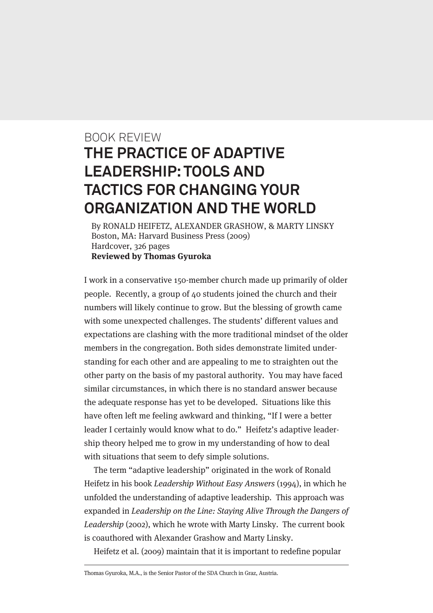## BOOK REVIEW **THE PRACTICE OF ADAPTIVE LEADERSHIP: TOOLS AND TACTICS FOR CHANGING YOUR ORGANIZATION AND THE WORLD**

By RONALD HEIFETZ, ALEXANDER GRASHOW, & MARTY LINSKY Boston, MA: Harvard Business Press (2009) Hardcover, 326 pages **Reviewed by Thomas Gyuroka**

I work in a conservative 150-member church made up primarily of older people. Recently, a group of 40 students joined the church and their numbers will likely continue to grow. But the blessing of growth came with some unexpected challenges. The students' different values and expectations are clashing with the more traditional mindset of the older members in the congregation. Both sides demonstrate limited understanding for each other and are appealing to me to straighten out the other party on the basis of my pastoral authority. You may have faced similar circumstances, in which there is no standard answer because the adequate response has yet to be developed. Situations like this have often left me feeling awkward and thinking, "If I were a better leader I certainly would know what to do." Heifetz's adaptive leadership theory helped me to grow in my understanding of how to deal with situations that seem to defy simple solutions.

The term "adaptive leadership" originated in the work of Ronald Heifetz in his book Leadership Without Easy Answers (1994), in which he unfolded the understanding of adaptive leadership. This approach was expanded in Leadership on the Line: Staying Alive Through the Dangers of Leadership (2002), which he wrote with Marty Linsky. The current book is coauthored with Alexander Grashow and Marty Linsky.

Heifetz et al. (2009) maintain that it is important to redefine popular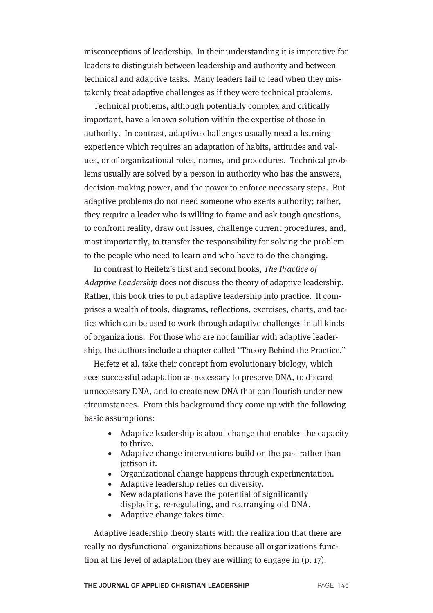misconceptions of leadership. In their understanding it is imperative for leaders to distinguish between leadership and authority and between technical and adaptive tasks. Many leaders fail to lead when they mistakenly treat adaptive challenges as if they were technical problems.

Technical problems, although potentially complex and critically important, have a known solution within the expertise of those in authority. In contrast, adaptive challenges usually need a learning experience which requires an adaptation of habits, attitudes and values, or of organizational roles, norms, and procedures. Technical problems usually are solved by a person in authority who has the answers, decision-making power, and the power to enforce necessary steps. But adaptive problems do not need someone who exerts authority; rather, they require a leader who is willing to frame and ask tough questions, to confront reality, draw out issues, challenge current procedures, and, most importantly, to transfer the responsibility for solving the problem to the people who need to learn and who have to do the changing.

In contrast to Heifetz's first and second books, The Practice of Adaptive Leadership does not discuss the theory of adaptive leadership. Rather, this book tries to put adaptive leadership into practice. It comprises a wealth of tools, diagrams, reflections, exercises, charts, and tactics which can be used to work through adaptive challenges in all kinds of organizations. For those who are not familiar with adaptive leadership, the authors include a chapter called "Theory Behind the Practice."

Heifetz et al. take their concept from evolutionary biology, which sees successful adaptation as necessary to preserve DNA, to discard unnecessary DNA, and to create new DNA that can flourish under new circumstances. From this background they come up with the following basic assumptions:

- Adaptive leadership is about change that enables the capacity to thrive.
- Adaptive change interventions build on the past rather than jettison it.
- Organizational change happens through experimentation.
- Adaptive leadership relies on diversity.
- New adaptations have the potential of significantly displacing, re-regulating, and rearranging old DNA.
- Adaptive change takes time.

Adaptive leadership theory starts with the realization that there are really no dysfunctional organizations because all organizations function at the level of adaptation they are willing to engage in (p. 17).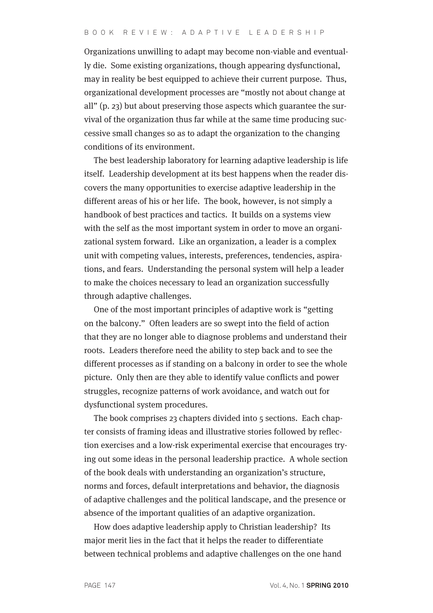Organizations unwilling to adapt may become non-viable and eventually die. Some existing organizations, though appearing dysfunctional, may in reality be best equipped to achieve their current purpose. Thus, organizational development processes are "mostly not about change at all" (p. 23) but about preserving those aspects which guarantee the survival of the organization thus far while at the same time producing successive small changes so as to adapt the organization to the changing conditions of its environment.

The best leadership laboratory for learning adaptive leadership is life itself. Leadership development at its best happens when the reader discovers the many opportunities to exercise adaptive leadership in the different areas of his or her life. The book, however, is not simply a handbook of best practices and tactics. It builds on a systems view with the self as the most important system in order to move an organizational system forward. Like an organization, a leader is a complex unit with competing values, interests, preferences, tendencies, aspirations, and fears. Understanding the personal system will help a leader to make the choices necessary to lead an organization successfully through adaptive challenges.

One of the most important principles of adaptive work is "getting on the balcony." Often leaders are so swept into the field of action that they are no longer able to diagnose problems and understand their roots. Leaders therefore need the ability to step back and to see the different processes as if standing on a balcony in order to see the whole picture. Only then are they able to identify value conflicts and power struggles, recognize patterns of work avoidance, and watch out for dysfunctional system procedures.

The book comprises 23 chapters divided into 5 sections. Each chapter consists of framing ideas and illustrative stories followed by reflection exercises and a low-risk experimental exercise that encourages trying out some ideas in the personal leadership practice. A whole section of the book deals with understanding an organization's structure, norms and forces, default interpretations and behavior, the diagnosis of adaptive challenges and the political landscape, and the presence or absence of the important qualities of an adaptive organization.

How does adaptive leadership apply to Christian leadership? Its major merit lies in the fact that it helps the reader to differentiate between technical problems and adaptive challenges on the one hand